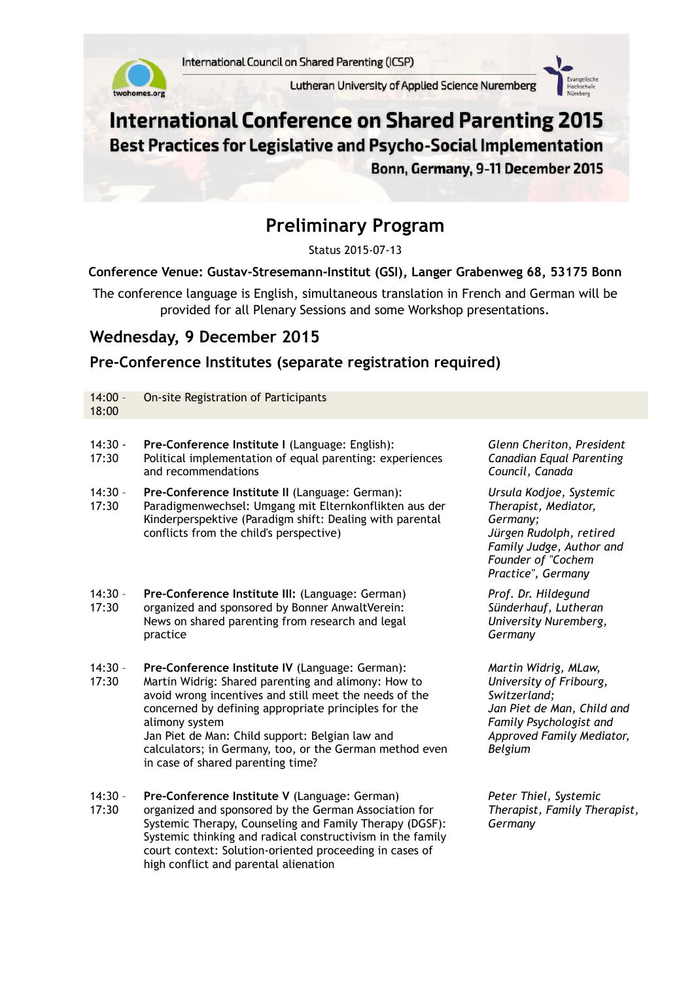

Lutheran University of Applied Science Nuremberg



# **International Conference on Shared Parenting 2015** Best Practices for Legislative and Psycho-Social Implementation

Bonn, Germany, 9-11 December 2015

# **Preliminary Program**

Status 2015-07-13

#### **Conference Venue: Gustav-Stresemann-Institut (GSI), Langer Grabenweg 68, 53175 Bonn**

The conference language is English, simultaneous translation in French and German will be provided for all Plenary Sessions and some Workshop presentations.

### **Wednesday, 9 December 2015**

high conflict and parental alienation

# **Pre-Conference Institutes (separate registration required)**

| $14:00 -$<br>18:00 | On-site Registration of Participants                                                                                                                                                                                                                                                                                                                                                          |                                                                                                                                                                  |
|--------------------|-----------------------------------------------------------------------------------------------------------------------------------------------------------------------------------------------------------------------------------------------------------------------------------------------------------------------------------------------------------------------------------------------|------------------------------------------------------------------------------------------------------------------------------------------------------------------|
| $14:30 -$<br>17:30 | Pre-Conference Institute I (Language: English):<br>Political implementation of equal parenting: experiences<br>and recommendations                                                                                                                                                                                                                                                            | Glenn Cheriton, President<br><b>Canadian Equal Parenting</b><br>Council, Canada                                                                                  |
| $14:30 -$<br>17:30 | Pre-Conference Institute II (Language: German):<br>Paradigmenwechsel: Umgang mit Elternkonflikten aus der<br>Kinderperspektive (Paradigm shift: Dealing with parental<br>conflicts from the child's perspective)                                                                                                                                                                              | Ursula Kodjoe, Systemic<br>Therapist, Mediator,<br>Germany;<br>Jürgen Rudolph, retired<br>Family Judge, Author and<br>Founder of "Cochem<br>Practice", Germany   |
| $14:30 -$<br>17:30 | Pre-Conference Institute III: (Language: German)<br>organized and sponsored by Bonner AnwaltVerein:<br>News on shared parenting from research and legal<br>practice                                                                                                                                                                                                                           | Prof. Dr. Hildegund<br>Sünderhauf, Lutheran<br>University Nuremberg,<br>Germany                                                                                  |
| $14:30 -$<br>17:30 | Pre-Conference Institute IV (Language: German):<br>Martin Widrig: Shared parenting and alimony: How to<br>avoid wrong incentives and still meet the needs of the<br>concerned by defining appropriate principles for the<br>alimony system<br>Jan Piet de Man: Child support: Belgian law and<br>calculators; in Germany, too, or the German method even<br>in case of shared parenting time? | Martin Widrig, MLaw,<br>University of Fribourg,<br>Switzerland;<br>Jan Piet de Man, Child and<br>Family Psychologist and<br>Approved Family Mediator,<br>Belgium |
| $14:30 -$<br>17:30 | Pre-Conference Institute V (Language: German)<br>organized and sponsored by the German Association for<br>Systemic Therapy, Counseling and Family Therapy (DGSF):<br>Systemic thinking and radical constructivism in the family<br>court context: Solution-oriented proceeding in cases of                                                                                                    | Peter Thiel, Systemic<br>Therapist, Family Therapist,<br>Germany                                                                                                 |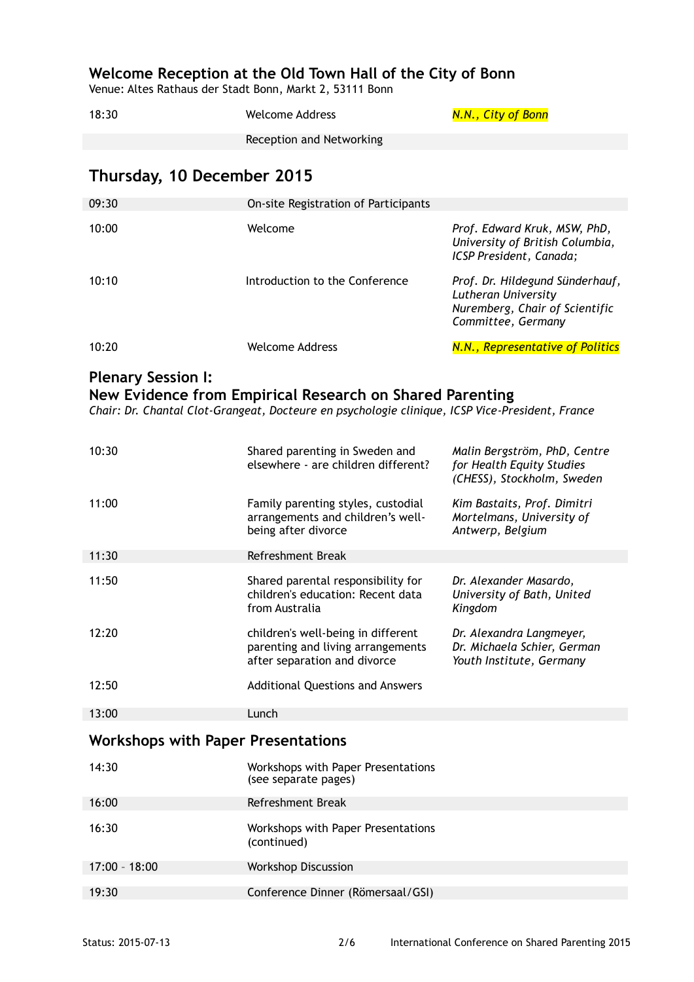## **Welcome Reception at the Old Town Hall of the City of Bonn**

Venue: Altes Rathaus der Stadt Bonn, Markt 2, 53111 Bonn

| 18:30 | Welcome Address          | <u>N.N., City of Bonn</u> |
|-------|--------------------------|---------------------------|
|       | Reception and Networking |                           |

# **Thursday, 10 December 2015**

| 09:30 | On-site Registration of Participants |                                                                                                                |
|-------|--------------------------------------|----------------------------------------------------------------------------------------------------------------|
| 10:00 | Welcome                              | Prof. Edward Kruk, MSW, PhD,<br>University of British Columbia,<br>ICSP President, Canada;                     |
| 10:10 | Introduction to the Conference       | Prof. Dr. Hildegund Sünderhauf,<br>Lutheran University<br>Nuremberg, Chair of Scientific<br>Committee, Germany |
| 10:20 | Welcome Address                      | N.N., Representative of Politics                                                                               |

# **Plenary Session I:**

**New Evidence from Empirical Research on Shared Parenting**

*Chair: Dr. Chantal Clot-Grangeat, Docteure en psychologie clinique, ICSP Vice-President, France*

| 10:30                                     | Shared parenting in Sweden and<br>elsewhere - are children different?                                   | Malin Bergström, PhD, Centre<br>for Health Equity Studies<br>(CHESS), Stockholm, Sweden |  |
|-------------------------------------------|---------------------------------------------------------------------------------------------------------|-----------------------------------------------------------------------------------------|--|
| 11:00                                     | Family parenting styles, custodial<br>arrangements and children's well-<br>being after divorce          | Kim Bastaits, Prof. Dimitri<br>Mortelmans, University of<br>Antwerp, Belgium            |  |
| 11:30                                     | Refreshment Break                                                                                       |                                                                                         |  |
| 11:50                                     | Shared parental responsibility for<br>children's education: Recent data<br>from Australia               | Dr. Alexander Masardo,<br>University of Bath, United<br>Kingdom                         |  |
| 12:20                                     | children's well-being in different<br>parenting and living arrangements<br>after separation and divorce | Dr. Alexandra Langmeyer,<br>Dr. Michaela Schier, German<br>Youth Institute, Germany     |  |
| 12:50                                     | <b>Additional Questions and Answers</b>                                                                 |                                                                                         |  |
| 13:00                                     | Lunch                                                                                                   |                                                                                         |  |
| <b>Workshops with Paper Presentations</b> |                                                                                                         |                                                                                         |  |
| 14:30                                     | Workshops with Paper Presentations<br>(see separate pages)                                              |                                                                                         |  |
| 16:00                                     | Refreshment Break                                                                                       |                                                                                         |  |
| 16:30                                     | Workshops with Paper Presentations<br>(continued)                                                       |                                                                                         |  |
| $17:00 - 18:00$                           | <b>Workshop Discussion</b>                                                                              |                                                                                         |  |
| 19:30                                     | Conference Dinner (Römersaal/GSI)                                                                       |                                                                                         |  |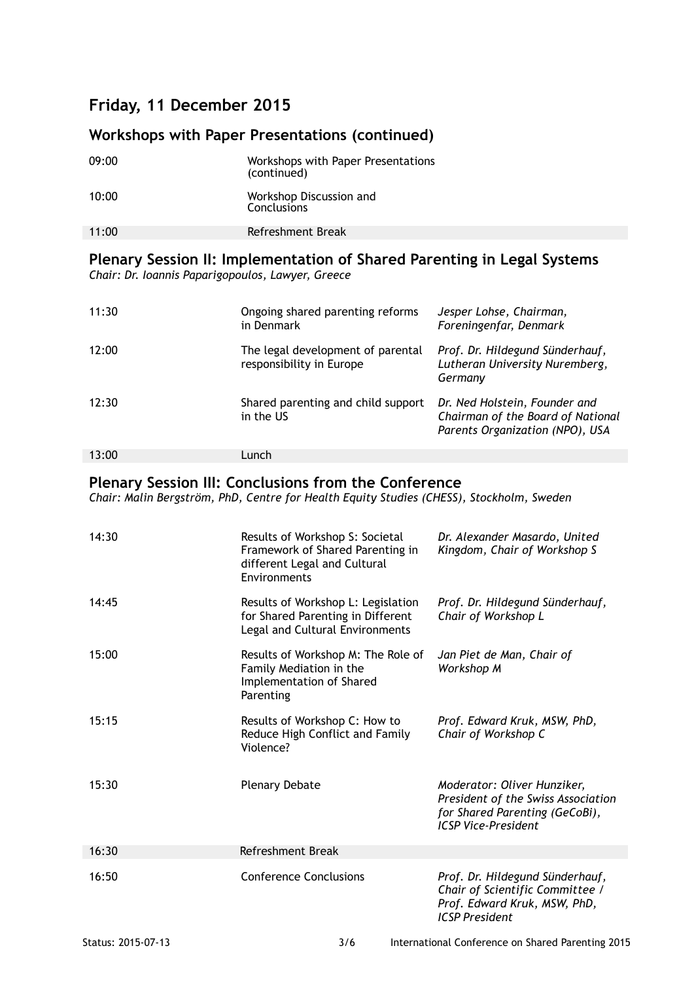# **Friday, 11 December 2015**

# **Workshops with Paper Presentations (continued)**

| 09:00 | Workshops with Paper Presentations<br>(continued) |
|-------|---------------------------------------------------|
| 10:00 | Workshop Discussion and<br><b>Conclusions</b>     |
| 11:00 | Refreshment Break                                 |
|       |                                                   |

#### **Plenary Session II: Implementation of Shared Parenting in Legal Systems** *Chair: Dr. Ioannis Paparigopoulos, Lawyer, Greece*

| 11:30 | Ongoing shared parenting reforms<br>in Denmark                | Jesper Lohse, Chairman,<br>Foreningenfar, Denmark                                                     |
|-------|---------------------------------------------------------------|-------------------------------------------------------------------------------------------------------|
| 12:00 | The legal development of parental<br>responsibility in Europe | Prof. Dr. Hildegund Sünderhauf,<br>Lutheran University Nuremberg,<br>Germany                          |
| 12:30 | Shared parenting and child support<br>in the US               | Dr. Ned Holstein, Founder and<br>Chairman of the Board of National<br>Parents Organization (NPO), USA |
| 13:00 | Lunch                                                         |                                                                                                       |

# **Plenary Session III: Conclusions from the Conference**

*Chair: Malin Bergström, PhD, Centre for Health Equity Studies (CHESS), Stockholm, Sweden*

| 14:30 | Results of Workshop S: Societal<br>Framework of Shared Parenting in<br>different Legal and Cultural<br>Environments | Dr. Alexander Masardo, United<br>Kingdom, Chair of Workshop S                                                                     |
|-------|---------------------------------------------------------------------------------------------------------------------|-----------------------------------------------------------------------------------------------------------------------------------|
| 14:45 | Results of Workshop L: Legislation<br>for Shared Parenting in Different<br>Legal and Cultural Environments          | Prof. Dr. Hildegund Sünderhauf,<br>Chair of Workshop L                                                                            |
| 15:00 | Results of Workshop M: The Role of<br>Family Mediation in the<br>Implementation of Shared<br>Parenting              | Jan Piet de Man, Chair of<br>Workshop M                                                                                           |
| 15:15 | Results of Workshop C: How to<br>Reduce High Conflict and Family<br>Violence?                                       | Prof. Edward Kruk, MSW, PhD,<br>Chair of Workshop C                                                                               |
| 15:30 | <b>Plenary Debate</b>                                                                                               | Moderator: Oliver Hunziker,<br>President of the Swiss Association<br>for Shared Parenting (GeCoBi),<br><b>ICSP Vice-President</b> |
| 16:30 | Refreshment Break                                                                                                   |                                                                                                                                   |
| 16:50 | <b>Conference Conclusions</b>                                                                                       | Prof. Dr. Hildegund Sünderhauf,<br>Chair of Scientific Committee /<br>Prof. Edward Kruk, MSW, PhD,<br><b>ICSP</b> President       |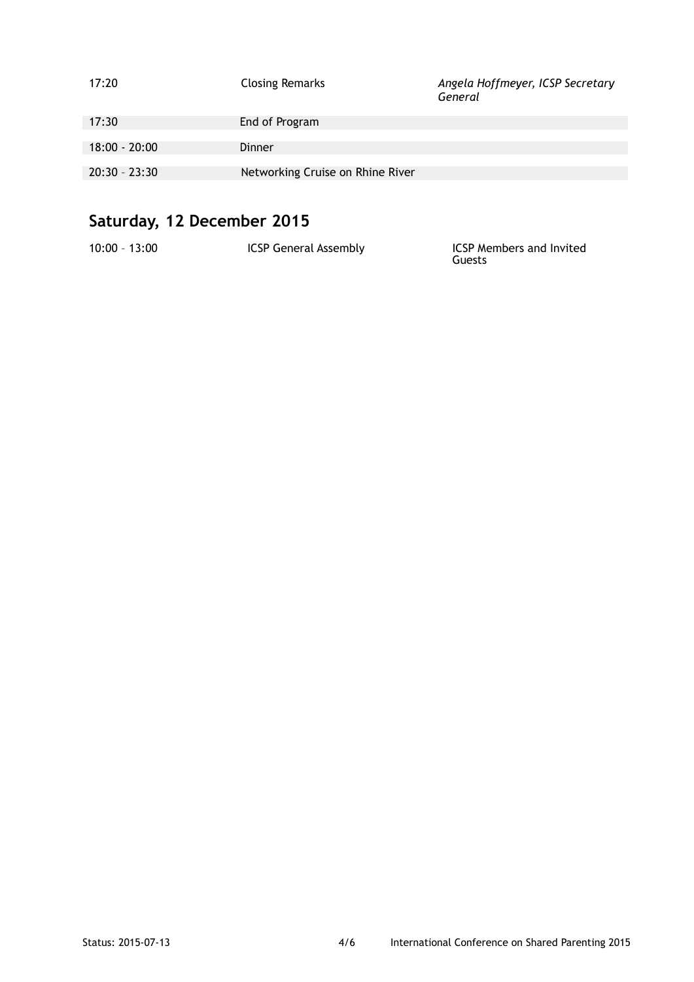| 17:20           | <b>Closing Remarks</b>           | Angela Hoffmeyer, ICSP Secretary<br>General |
|-----------------|----------------------------------|---------------------------------------------|
| 17:30           | End of Program                   |                                             |
| $18:00 - 20:00$ | Dinner                           |                                             |
| $20:30 - 23:30$ | Networking Cruise on Rhine River |                                             |

# **Saturday, 12 December 2015**

| $10:00 - 13:00$ | <b>ICSP General Assembly</b> | <b>ICSP Members and Invited</b><br>Guests |
|-----------------|------------------------------|-------------------------------------------|
|                 |                              |                                           |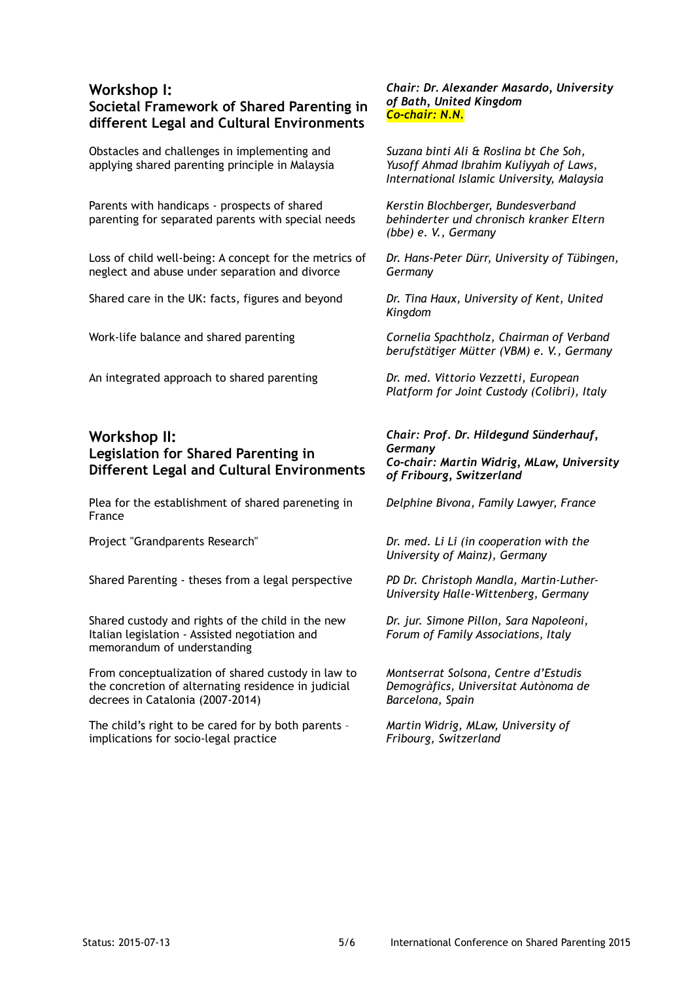### **Workshop I: Societal Framework of Shared Parenting in different Legal and Cultural Environments**

Obstacles and challenges in implementing and applying shared parenting principle in Malaysia

Parents with handicaps - prospects of shared parenting for separated parents with special needs

Loss of child well-being: A concept for the metrics of neglect and abuse under separation and divorce

Shared care in the UK: facts, figures and beyond *Dr. Tina Haux, University of Kent, United* 

An integrated approach to shared parenting *Dr. med. Vittorio Vezzetti, European* 

### **Workshop II: Legislation for Shared Parenting in Different Legal and Cultural Environments**

Plea for the establishment of shared pareneting in France

Shared Parenting - theses from a legal perspective *PD Dr. Christoph Mandla, Martin-Luther-*

Shared custody and rights of the child in the new Italian legislation - Assisted negotiation and memorandum of understanding

From conceptualization of shared custody in law to the concretion of alternating residence in judicial decrees in Catalonia (2007-2014)

The child's right to be cared for by both parents – implications for socio-legal practice

*Chair: Dr. Alexander Masardo, University of Bath, United Kingdom Co-chair: N.N.*

*Suzana binti Ali & Roslina bt Che Soh, Yusoff Ahmad Ibrahim Kuliyyah of Laws, International Islamic University, Malaysia*

*Kerstin Blochberger, Bundesverband behinderter und chronisch kranker Eltern (bbe) e. V., Germany*

*Dr. Hans-Peter Dürr, University of Tübingen, Germany*

*Kingdom*

Work-life balance and shared parenting *Cornelia Spachtholz, Chairman of Verband berufstätiger Mütter (VBM) e. V., Germany*

*Platform for Joint Custody (Colibri), Italy*

*Chair: Prof. Dr. Hildegund Sünderhauf, Germany Co-chair: Martin Widrig, MLaw, University of Fribourg, Switzerland* 

*Delphine Bivona, Family Lawyer, France*

Project "Grandparents Research" *Dr. med. Li Li (in cooperation with the University of Mainz), Germany*

*University Halle-Wittenberg, Germany* 

*Dr. jur. Simone Pillon, Sara Napoleoni, Forum of Family Associations, Italy*

*Montserrat Solsona, Centre d'Estudis Demogràfics, Universitat Autònoma de Barcelona, Spain*

*Martin Widrig, MLaw, University of Fribourg, Switzerland*